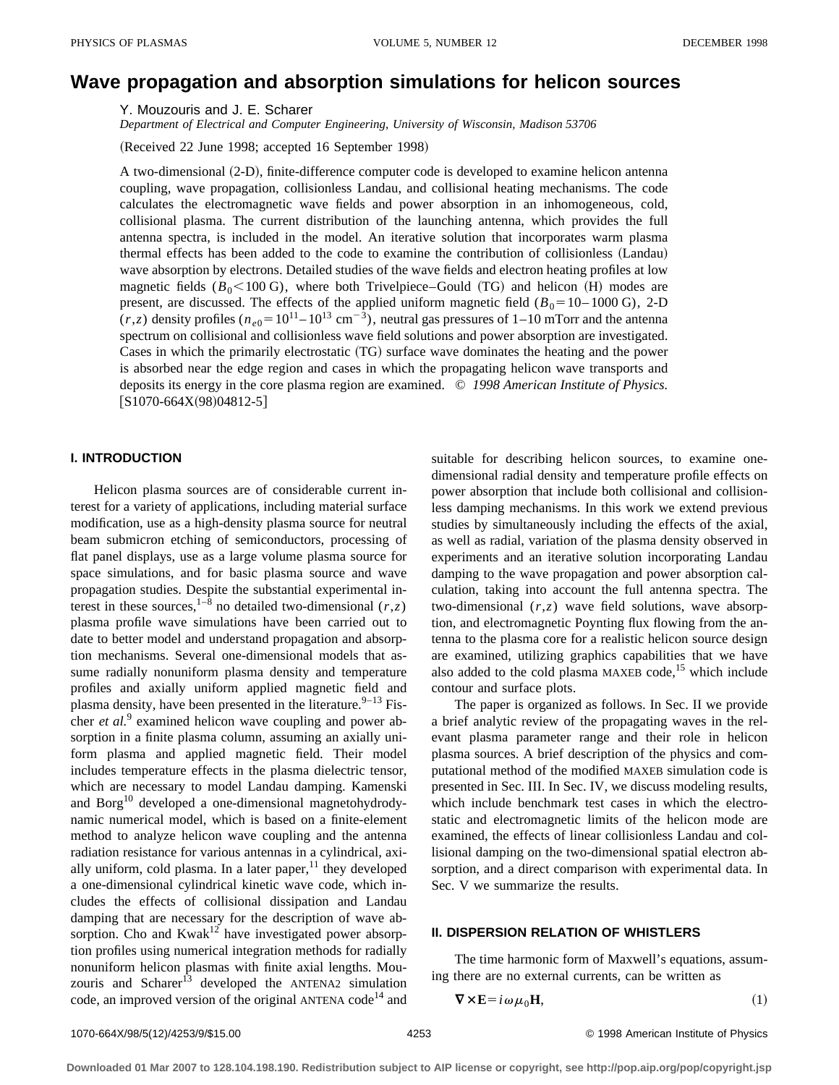# **Wave propagation and absorption simulations for helicon sources**

Y. Mouzouris and J. E. Scharer

*Department of Electrical and Computer Engineering, University of Wisconsin, Madison 53706*

(Received 22 June 1998; accepted 16 September 1998)

A two-dimensional (2-D), finite-difference computer code is developed to examine helicon antenna coupling, wave propagation, collisionless Landau, and collisional heating mechanisms. The code calculates the electromagnetic wave fields and power absorption in an inhomogeneous, cold, collisional plasma. The current distribution of the launching antenna, which provides the full antenna spectra, is included in the model. An iterative solution that incorporates warm plasma thermal effects has been added to the code to examine the contribution of collisionless (Landau) wave absorption by electrons. Detailed studies of the wave fields and electron heating profiles at low magnetic fields  $(B_0<100 \text{ G})$ , where both Trivelpiece–Gould (TG) and helicon (H) modes are present, are discussed. The effects of the applied uniform magnetic field  $(B_0=10-1000 \text{ G})$ , 2-D  $(r, z)$  density profiles  $(n_{e0} = 10^{11} - 10^{13} \text{ cm}^{-3})$ , neutral gas pressures of 1–10 mTorr and the antenna spectrum on collisional and collisionless wave field solutions and power absorption are investigated. Cases in which the primarily electrostatic (TG) surface wave dominates the heating and the power is absorbed near the edge region and cases in which the propagating helicon wave transports and deposits its energy in the core plasma region are examined. © *1998 American Institute of Physics.*  $[S1070-664X(98)04812-5]$ 

#### **I. INTRODUCTION**

Helicon plasma sources are of considerable current interest for a variety of applications, including material surface modification, use as a high-density plasma source for neutral beam submicron etching of semiconductors, processing of flat panel displays, use as a large volume plasma source for space simulations, and for basic plasma source and wave propagation studies. Despite the substantial experimental interest in these sources,<sup>1–8</sup> no detailed two-dimensional  $(r, z)$ plasma profile wave simulations have been carried out to date to better model and understand propagation and absorption mechanisms. Several one-dimensional models that assume radially nonuniform plasma density and temperature profiles and axially uniform applied magnetic field and plasma density, have been presented in the literature.  $9-13$  Fischer *et al.*<sup>9</sup> examined helicon wave coupling and power absorption in a finite plasma column, assuming an axially uniform plasma and applied magnetic field. Their model includes temperature effects in the plasma dielectric tensor, which are necessary to model Landau damping. Kamenski and Borg<sup>10</sup> developed a one-dimensional magnetohydrodynamic numerical model, which is based on a finite-element method to analyze helicon wave coupling and the antenna radiation resistance for various antennas in a cylindrical, axially uniform, cold plasma. In a later paper, $11$  they developed a one-dimensional cylindrical kinetic wave code, which includes the effects of collisional dissipation and Landau damping that are necessary for the description of wave absorption. Cho and  $Kwak^{12}$  have investigated power absorption profiles using numerical integration methods for radially nonuniform helicon plasmas with finite axial lengths. Mouzouris and Scharer<sup>13</sup> developed the ANTENA2 simulation code, an improved version of the original ANTENA code<sup>14</sup> and

suitable for describing helicon sources, to examine onedimensional radial density and temperature profile effects on power absorption that include both collisional and collisionless damping mechanisms. In this work we extend previous studies by simultaneously including the effects of the axial, as well as radial, variation of the plasma density observed in experiments and an iterative solution incorporating Landau damping to the wave propagation and power absorption calculation, taking into account the full antenna spectra. The two-dimensional (*r*,*z*) wave field solutions, wave absorption, and electromagnetic Poynting flux flowing from the antenna to the plasma core for a realistic helicon source design are examined, utilizing graphics capabilities that we have also added to the cold plasma MAXEB code,<sup>15</sup> which include contour and surface plots.

The paper is organized as follows. In Sec. II we provide a brief analytic review of the propagating waves in the relevant plasma parameter range and their role in helicon plasma sources. A brief description of the physics and computational method of the modified MAXEB simulation code is presented in Sec. III. In Sec. IV, we discuss modeling results, which include benchmark test cases in which the electrostatic and electromagnetic limits of the helicon mode are examined, the effects of linear collisionless Landau and collisional damping on the two-dimensional spatial electron absorption, and a direct comparison with experimental data. In Sec. V we summarize the results.

#### **II. DISPERSION RELATION OF WHISTLERS**

The time harmonic form of Maxwell's equations, assuming there are no external currents, can be written as

$$
\nabla \times \mathbf{E} = i\omega \mu_0 \mathbf{H},\tag{1}
$$

1070-664X/98/5(12)/4253/9/\$15.00 © 1998 American Institute of Physics 4253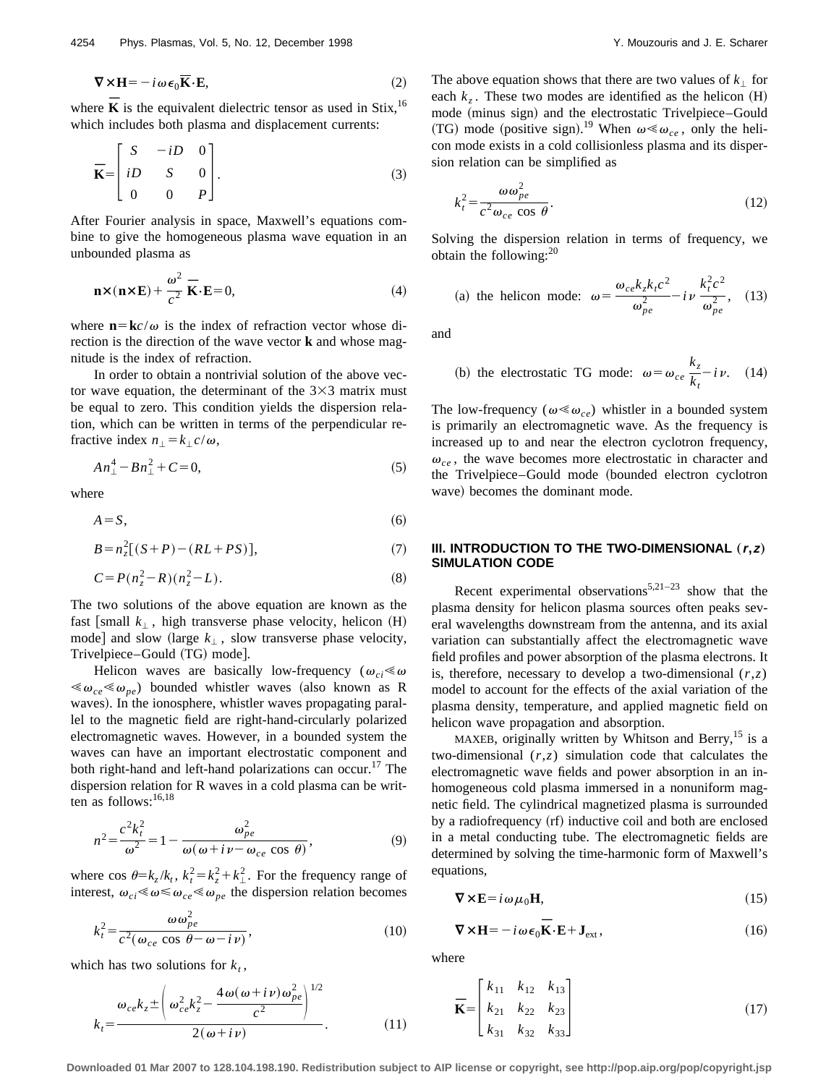$$
\nabla \times \mathbf{H} = -i \omega \epsilon_0 \overline{\mathbf{K}} \cdot \mathbf{E},\tag{2}
$$

where **K** is the equivalent dielectric tensor as used in Stix,<sup>16</sup> which includes both plasma and displacement currents:

$$
\overline{\mathbf{K}} = \begin{bmatrix} S & -iD & 0 \\ iD & S & 0 \\ 0 & 0 & P \end{bmatrix} . \tag{3}
$$

After Fourier analysis in space, Maxwell's equations combine to give the homogeneous plasma wave equation in an unbounded plasma as

$$
\mathbf{n} \times (\mathbf{n} \times \mathbf{E}) + \frac{\omega^2}{c^2} \overline{\mathbf{K}} \cdot \mathbf{E} = 0,
$$
 (4)

where  $\mathbf{n} = \mathbf{k}c/\omega$  is the index of refraction vector whose direction is the direction of the wave vector **k** and whose magnitude is the index of refraction.

In order to obtain a nontrivial solution of the above vector wave equation, the determinant of the  $3\times3$  matrix must be equal to zero. This condition yields the dispersion relation, which can be written in terms of the perpendicular refractive index  $n_{\perp} = k_{\perp} c/\omega$ ,

$$
An_1^4 - Bn_1^2 + C = 0,\t\t(5)
$$

where

$$
A = S,\tag{6}
$$

$$
B = n_z^2 [(S + P) - (RL + PS)], \tag{7}
$$

$$
C = P(n_z^2 - R)(n_z^2 - L). \tag{8}
$$

The two solutions of the above equation are known as the fast [small  $k_{\perp}$ , high transverse phase velocity, helicon  $(H)$ mode] and slow (large  $k_{\perp}$ , slow transverse phase velocity, Trivelpiece-Gould (TG) mode].

Helicon waves are basically low-frequency ( $\omega_{ci} \ll \omega$  $\langle\,\omega_{ce}\,\langle\,\omega_{pe}\,\rangle$  bounded whistler waves (also known as R waves). In the ionosphere, whistler waves propagating parallel to the magnetic field are right-hand-circularly polarized electromagnetic waves. However, in a bounded system the waves can have an important electrostatic component and both right-hand and left-hand polarizations can occur.<sup>17</sup> The dispersion relation for R waves in a cold plasma can be written as follows: $16,18$ 

$$
n^2 = \frac{c^2 k_t^2}{\omega^2} = 1 - \frac{\omega_{pe}^2}{\omega(\omega + i\nu - \omega_{ce} \cos \theta)},
$$
\n(9)

where cos  $\theta = k_z / k_t$ ,  $k_t^2 = k_z^2 + k_\perp^2$ . For the frequency range of interest,  $\omega_{ci} \ll \omega \ll \omega_{ce} \ll \omega_{pe}$  the dispersion relation becomes

$$
k_t^2 = \frac{\omega \omega_{pe}^2}{c^2(\omega_{ce} \cos \theta - \omega - i\nu)},
$$
\n(10)

which has two solutions for  $k_t$ ,

$$
k_t = \frac{\omega_{ce}k_z \pm \left(\omega_{ce}^2 k_z^2 - \frac{4\omega(\omega + i\nu)\omega_{pe}^2}{c^2}\right)^{1/2}}{2(\omega + i\nu)}.
$$
(11)

The above equation shows that there are two values of  $k_{\perp}$  for each  $k_z$ . These two modes are identified as the helicon  $(H)$ mode (minus sign) and the electrostatic Trivelpiece-Gould (TG) mode (positive sign).<sup>19</sup> When  $\omega \ll \omega_{ce}$ , only the helicon mode exists in a cold collisionless plasma and its dispersion relation can be simplified as

$$
k_t^2 = \frac{\omega \omega_{pe}^2}{c^2 \omega_{ce} \cos \theta}.
$$
 (12)

Solving the dispersion relation in terms of frequency, we obtain the following: $^{20}$ 

(a) the helicon mode: 
$$
\omega = \frac{\omega_{ce} k_z k_t c^2}{\omega_{pe}^2} - i \nu \frac{k_t^2 c^2}{\omega_{pe}^2},
$$
 (13)

and

(b) the electrostatic TG mode: 
$$
\omega = \omega_{ce} \frac{k_z}{k_t} - i \nu
$$
. (14)

The low-frequency ( $\omega \ll \omega_{ce}$ ) whistler in a bounded system is primarily an electromagnetic wave. As the frequency is increased up to and near the electron cyclotron frequency,  $\omega_{ce}$ , the wave becomes more electrostatic in character and the Trivelpiece–Gould mode (bounded electron cyclotron wave) becomes the dominant mode.

### **III. INTRODUCTION TO THE TWO-DIMENSIONAL (r,z) SIMULATION CODE**

Recent experimental observations<sup>5,21–23</sup> show that the plasma density for helicon plasma sources often peaks several wavelengths downstream from the antenna, and its axial variation can substantially affect the electromagnetic wave field profiles and power absorption of the plasma electrons. It is, therefore, necessary to develop a two-dimensional  $(r, z)$ model to account for the effects of the axial variation of the plasma density, temperature, and applied magnetic field on helicon wave propagation and absorption.

MAXEB, originally written by Whitson and Berry, $^{15}$  is a two-dimensional (*r*,*z*) simulation code that calculates the electromagnetic wave fields and power absorption in an inhomogeneous cold plasma immersed in a nonuniform magnetic field. The cylindrical magnetized plasma is surrounded by a radiofrequency (rf) inductive coil and both are enclosed in a metal conducting tube. The electromagnetic fields are determined by solving the time-harmonic form of Maxwell's equations,

$$
\nabla \times \mathbf{E} = i\omega \mu_0 \mathbf{H},\tag{15}
$$

$$
\nabla \times \mathbf{H} = -i\,\omega\,\epsilon_0 \,\mathbf{\bar{K}} \cdot \mathbf{E} + \mathbf{J}_{\text{ext}},\tag{16}
$$

where

$$
\overline{\mathbf{K}} = \begin{bmatrix} k_{11} & k_{12} & k_{13} \\ k_{21} & k_{22} & k_{23} \\ k_{31} & k_{32} & k_{33} \end{bmatrix}
$$
 (17)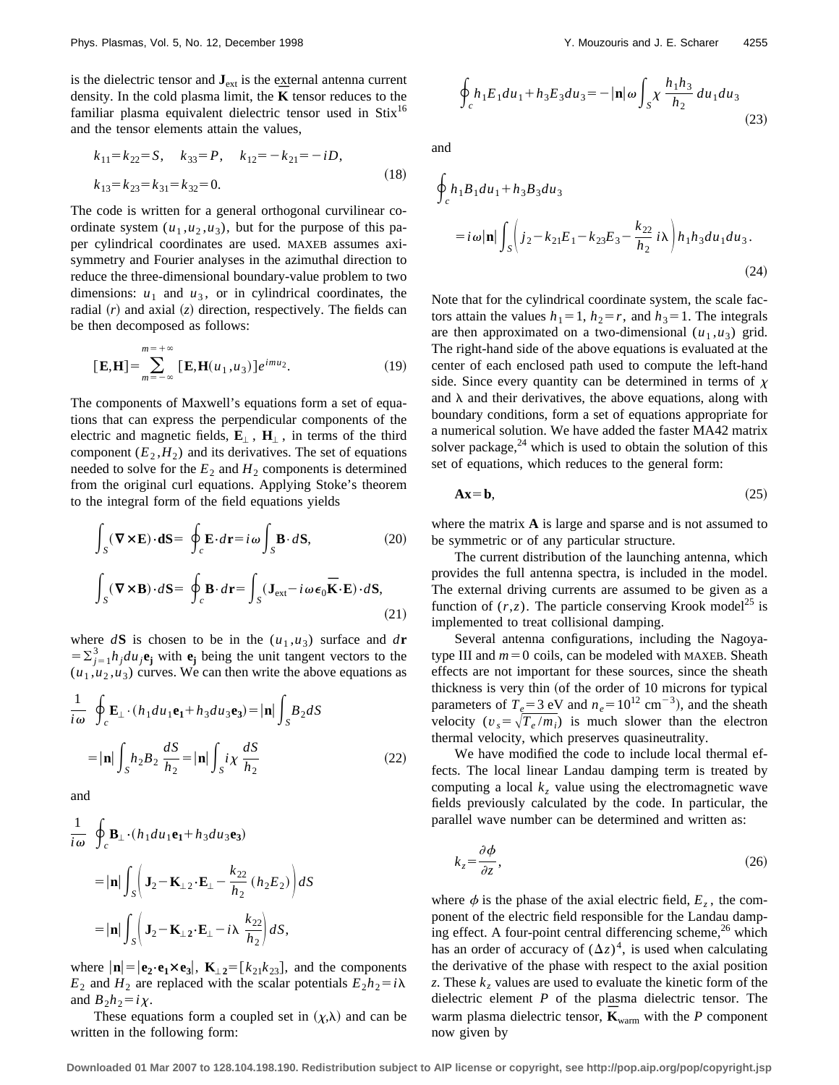is the dielectric tensor and  $\mathbf{J}_{ext}$  is the external antenna current density. In the cold plasma limit, the **K** tensor reduces to the familiar plasma equivalent dielectric tensor used in  $Stix^{16}$ and the tensor elements attain the values,

$$
k_{11} = k_{22} = S, \quad k_{33} = P, \quad k_{12} = -k_{21} = -iD,
$$
  
\n
$$
k_{13} = k_{23} = k_{31} = k_{32} = 0.
$$
\n(18)

The code is written for a general orthogonal curvilinear coordinate system  $(u_1, u_2, u_3)$ , but for the purpose of this paper cylindrical coordinates are used. MAXEB assumes axisymmetry and Fourier analyses in the azimuthal direction to reduce the three-dimensional boundary-value problem to two dimensions:  $u_1$  and  $u_3$ , or in cylindrical coordinates, the radial  $(r)$  and axial  $(z)$  direction, respectively. The fields can be then decomposed as follows:

$$
[\mathbf{E}, \mathbf{H}] = \sum_{m=-\infty}^{m=+\infty} [\mathbf{E}, \mathbf{H}(u_1, u_3)] e^{imu_2}.
$$
 (19)

The components of Maxwell's equations form a set of equations that can express the perpendicular components of the electric and magnetic fields,  $\mathbf{E}_{\perp}$ ,  $\mathbf{H}_{\perp}$ , in terms of the third component  $(E_2, H_2)$  and its derivatives. The set of equations needed to solve for the  $E_2$  and  $H_2$  components is determined from the original curl equations. Applying Stoke's theorem to the integral form of the field equations yields

$$
\int_{S} (\mathbf{\nabla} \times \mathbf{E}) \cdot d\mathbf{S} = \oint_{c} \mathbf{E} \cdot d\mathbf{r} = i\omega \int_{S} \mathbf{B} \cdot d\mathbf{S},
$$
\n(20)\n
$$
\int_{S} (\mathbf{\nabla} \times \mathbf{B}) \cdot d\mathbf{S} = \oint_{c} \mathbf{B} \cdot d\mathbf{r} = \int_{S} (\mathbf{J}_{ext} - i\omega \epsilon_{0} \overline{\mathbf{K}} \cdot \mathbf{E}) \cdot d\mathbf{S},
$$
\n(21)

where  $d\mathbf{S}$  is chosen to be in the  $(u_1, u_3)$  surface and  $d\mathbf{r}$  $= \sum_{j=1}^{3} h_j du_j \mathbf{e}_j$  with  $\mathbf{e}_j$  being the unit tangent vectors to the  $(u_1, u_2, u_3)$  curves. We can then write the above equations as

$$
\frac{1}{i\omega} \oint_c \mathbf{E}_{\perp} \cdot (h_1 du_1 \mathbf{e}_1 + h_3 du_3 \mathbf{e}_3) = |\mathbf{n}| \int_S B_2 dS
$$

$$
= |\mathbf{n}| \int_S h_2 B_2 \frac{dS}{h_2} = |\mathbf{n}| \int_S i\chi \frac{dS}{h_2}
$$
(22)

and

$$
\frac{1}{i\omega} \oint_c \mathbf{B}_{\perp} \cdot (h_1 du_1 \mathbf{e}_1 + h_3 du_3 \mathbf{e}_3)
$$
  
=  $|\mathbf{n}| \int_S \left( \mathbf{J}_2 - \mathbf{K}_{\perp 2} \cdot \mathbf{E}_{\perp} - \frac{k_{22}}{h_2} (h_2 E_2) \right) dS$   
=  $|\mathbf{n}| \int_S \left( \mathbf{J}_2 - \mathbf{K}_{\perp 2} \cdot \mathbf{E}_{\perp} - i \lambda \frac{k_{22}}{h_2} \right) dS,$ 

where  $|\mathbf{n}| = |\mathbf{e}_2 \cdot \mathbf{e}_1 \times \mathbf{e}_3|$ ,  $\mathbf{K}_{\perp 2} = [k_{21}k_{23}]$ , and the components  $E_2$  and  $H_2$  are replaced with the scalar potentials  $E_2 h_2 = i\lambda$ and  $B_2h_2=i\chi$ .

These equations form a coupled set in  $(\chi,\lambda)$  and can be written in the following form:

$$
\oint_{c} h_{1}E_{1}du_{1} + h_{3}E_{3}du_{3} = -\left|\mathbf{n}\right|\omega \int_{S} \chi \frac{h_{1}h_{3}}{h_{2}} du_{1}du_{3}
$$
\n(23)

and

$$
\oint_{c} h_{1}B_{1}du_{1} + h_{3}B_{3}du_{3}
$$
\n
$$
= i \omega |\mathbf{n}| \int_{S} \left( j_{2} - k_{21}E_{1} - k_{23}E_{3} - \frac{k_{22}}{h_{2}} i \lambda \right) h_{1}h_{3}du_{1}du_{3}. \tag{24}
$$

Note that for the cylindrical coordinate system, the scale factors attain the values  $h_1=1$ ,  $h_2=r$ , and  $h_3=1$ . The integrals are then approximated on a two-dimensional  $(u_1, u_3)$  grid. The right-hand side of the above equations is evaluated at the center of each enclosed path used to compute the left-hand side. Since every quantity can be determined in terms of  $\chi$ and  $\lambda$  and their derivatives, the above equations, along with boundary conditions, form a set of equations appropriate for a numerical solution. We have added the faster MA42 matrix solver package, $^{24}$  which is used to obtain the solution of this set of equations, which reduces to the general form:

$$
Ax = b,\tag{25}
$$

where the matrix **A** is large and sparse and is not assumed to be symmetric or of any particular structure.

The current distribution of the launching antenna, which provides the full antenna spectra, is included in the model. The external driving currents are assumed to be given as a function of  $(r, z)$ . The particle conserving Krook model<sup>25</sup> is implemented to treat collisional damping.

Several antenna configurations, including the Nagoyatype III and  $m=0$  coils, can be modeled with MAXEB. Sheath effects are not important for these sources, since the sheath thickness is very thin (of the order of 10 microns for typical parameters of  $T_e$ =3 eV and  $n_e$ =10<sup>12</sup> cm<sup>-3</sup>), and the sheath velocity  $(v_s = \sqrt{T_e / m_i})$  is much slower than the electron thermal velocity, which preserves quasineutrality.

We have modified the code to include local thermal effects. The local linear Landau damping term is treated by computing a local  $k_z$  value using the electromagnetic wave fields previously calculated by the code. In particular, the parallel wave number can be determined and written as:

$$
k_z = \frac{\partial \phi}{\partial z},\tag{26}
$$

where  $\phi$  is the phase of the axial electric field,  $E_z$ , the component of the electric field responsible for the Landau damping effect. A four-point central differencing scheme, $^{26}$  which has an order of accuracy of  $(\Delta z)^4$ , is used when calculating the derivative of the phase with respect to the axial position *z*. These  $k_z$  values are used to evaluate the kinetic form of the dielectric element *P* of the plasma dielectric tensor. The warm plasma dielectric tensor,  $\vec{\bf{K}}_{\text{warm}}$  with the *P* component now given by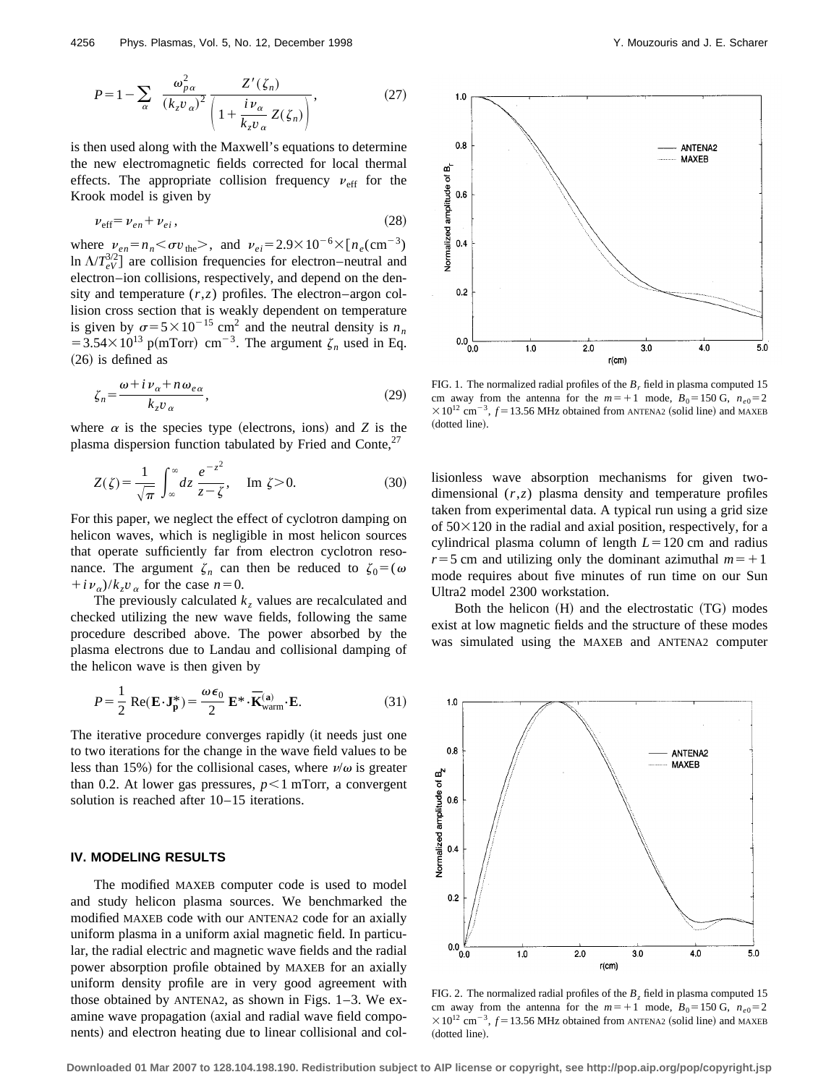$$
P = 1 - \sum_{\alpha} \frac{\omega_{p\alpha}^2}{(k_z v_{\alpha})^2} \frac{Z'(\zeta_n)}{\left(1 + \frac{i v_{\alpha}}{k_z v_{\alpha}} Z(\zeta_n)\right)},
$$
(27)

is then used along with the Maxwell's equations to determine the new electromagnetic fields corrected for local thermal effects. The appropriate collision frequency  $v_{\text{eff}}$  for the Krook model is given by

$$
\nu_{\rm eff} = \nu_{en} + \nu_{ei},\tag{28}
$$

where  $\nu_{en} = n_n < \sigma v_{the} >$ , and  $\nu_{ei} = 2.9 \times 10^{-6} \times [n_e(\text{cm}^{-3})$ In  $\Lambda/T_{eV}^{3/2}$  are collision frequencies for electron–neutral and electron–ion collisions, respectively, and depend on the density and temperature  $(r, z)$  profiles. The electron–argon collision cross section that is weakly dependent on temperature is given by  $\sigma = 5 \times 10^{-15}$  cm<sup>2</sup> and the neutral density is  $n_n$  $=3.54\times10^{13}$  p(mTorr) cm<sup>-3</sup>. The argument  $\zeta_n$  used in Eq.  $(26)$  is defined as

$$
\zeta_n = \frac{\omega + i \nu_\alpha + n \omega_{e\alpha}}{k_z \nu_\alpha},\tag{29}
$$

where  $\alpha$  is the species type (electrons, ions) and *Z* is the plasma dispersion function tabulated by Fried and Conte, $^{27}$ 

$$
Z(\zeta) = \frac{1}{\sqrt{\pi}} \int_{-\infty}^{\infty} dz \, \frac{e^{-z^2}}{z - \zeta}, \quad \text{Im } \zeta > 0. \tag{30}
$$

For this paper, we neglect the effect of cyclotron damping on helicon waves, which is negligible in most helicon sources that operate sufficiently far from electron cyclotron resonance. The argument  $\zeta_n$  can then be reduced to  $\zeta_0 = (\omega$  $+i\nu_{\alpha}$ )/ $k_z\nu_{\alpha}$  for the case  $n=0$ .

The previously calculated  $k_z$  values are recalculated and checked utilizing the new wave fields, following the same procedure described above. The power absorbed by the plasma electrons due to Landau and collisional damping of the helicon wave is then given by

$$
P = \frac{1}{2} \operatorname{Re}(\mathbf{E} \cdot \mathbf{J}_{\mathbf{p}}^{*}) = \frac{\omega \epsilon_{0}}{2} \mathbf{E}^{*} \cdot \overline{\mathbf{K}}_{\text{warm}}^{(\mathbf{a})} \cdot \mathbf{E}. \tag{31}
$$

The iterative procedure converges rapidly (it needs just one to two iterations for the change in the wave field values to be less than 15%) for the collisional cases, where  $v/\omega$  is greater than 0.2. At lower gas pressures,  $p<1$  mTorr, a convergent solution is reached after 10–15 iterations.

## **IV. MODELING RESULTS**

The modified MAXEB computer code is used to model and study helicon plasma sources. We benchmarked the modified MAXEB code with our ANTENA2 code for an axially uniform plasma in a uniform axial magnetic field. In particular, the radial electric and magnetic wave fields and the radial power absorption profile obtained by MAXEB for an axially uniform density profile are in very good agreement with those obtained by ANTENA2, as shown in Figs. 1–3. We examine wave propagation (axial and radial wave field components) and electron heating due to linear collisional and col-



FIG. 1. The normalized radial profiles of the  $B_r$  field in plasma computed 15 cm away from the antenna for the  $m=+1$  mode,  $B_0=150$  G,  $n_{e0}=2$  $\frac{\times 10^{12}}{2 \text{ cm}^{-3}}$ ,  $f = 13.56 \text{ MHz}$  obtained from ANTENA2 (solid line) and MAXEB (dotted line).

lisionless wave absorption mechanisms for given twodimensional (*r*,*z*) plasma density and temperature profiles taken from experimental data. A typical run using a grid size of  $50\times120$  in the radial and axial position, respectively, for a cylindrical plasma column of length  $L=120$  cm and radius  $r=5$  cm and utilizing only the dominant azimuthal  $m=+1$ mode requires about five minutes of run time on our Sun Ultra2 model 2300 workstation.

Both the helicon  $(H)$  and the electrostatic  $(TG)$  modes exist at low magnetic fields and the structure of these modes was simulated using the MAXEB and ANTENA2 computer



FIG. 2. The normalized radial profiles of the  $B_z$  field in plasma computed 15 cm away from the antenna for the  $m=+1$  mode,  $B_0=150$  G,  $n_{e0}=2$  $\times 10^{12}$  cm<sup>-3</sup>,  $f = 13.56$  MHz obtained from ANTENA2 (solid line) and MAXEB (dotted line).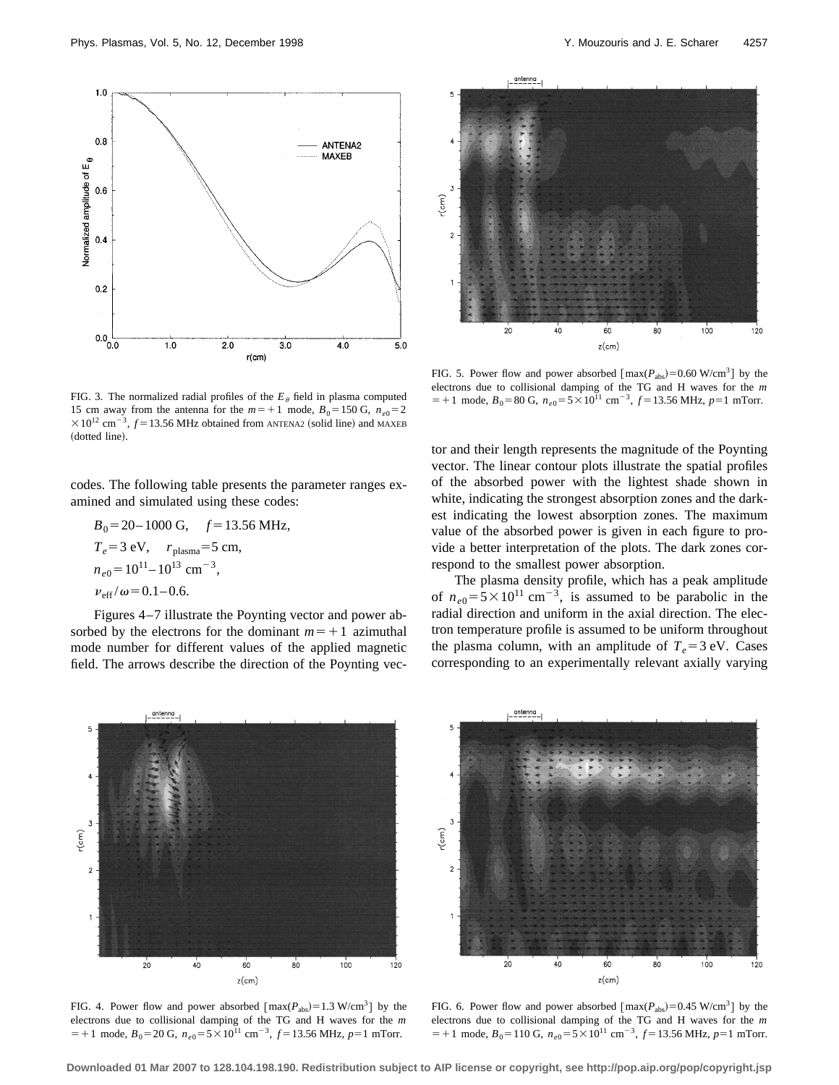



FIG. 5. Power flow and power absorbed  $[\text{max}(P_{\text{abs}})=0.60 \text{ W/cm}^3]$  by the electrons due to collisional damping of the TG and H waves for the *m*  $=+1$  mode,  $B_0 = 80$  G,  $n_{e0} = 5 \times 10^{11}$  cm<sup>-3</sup>,  $f = 13.56$  MHz,  $p=1$  mTorr.

FIG. 3. The normalized radial profiles of the  $E_{\theta}$  field in plasma computed 15 cm away from the antenna for the  $m=+1$  mode,  $B_0=150$  G,  $n_{e0}=2$  $\times 10^{12}$  cm<sup>-3</sup>,  $f = 13.56$  MHz obtained from ANTENA2 (solid line) and MAXEB (dotted line).

codes. The following table presents the parameter ranges examined and simulated using these codes:

$$
B_0 = 20-1000 \text{ G}, \quad f = 13.56 \text{ MHz},
$$
  
\n $T_e = 3 \text{ eV}, \quad r_{\text{plasma}} = 5 \text{ cm},$   
\n $n_{e0} = 10^{11} - 10^{13} \text{ cm}^{-3},$   
\n $v_{\text{eff}}/\omega = 0.1 - 0.6.$ 

Figures 4–7 illustrate the Poynting vector and power absorbed by the electrons for the dominant  $m=+1$  azimuthal mode number for different values of the applied magnetic field. The arrows describe the direction of the Poynting vec-

tor and their length represents the magnitude of the Poynting vector. The linear contour plots illustrate the spatial profiles of the absorbed power with the lightest shade shown in white, indicating the strongest absorption zones and the darkest indicating the lowest absorption zones. The maximum value of the absorbed power is given in each figure to provide a better interpretation of the plots. The dark zones correspond to the smallest power absorption.

The plasma density profile, which has a peak amplitude of  $n_{e0} = 5 \times 10^{11}$  cm<sup>-3</sup>, is assumed to be parabolic in the radial direction and uniform in the axial direction. The electron temperature profile is assumed to be uniform throughout the plasma column, with an amplitude of  $T_e = 3$  eV. Cases corresponding to an experimentally relevant axially varying



FIG. 4. Power flow and power absorbed  $[\text{max}(P_{\text{abs}})=1.3 \text{ W/cm}^3]$  by the electrons due to collisional damping of the TG and H waves for the *m*  $=+1$  mode,  $B_0 = 20$  G,  $n_{e0} = 5 \times 10^{11}$  cm<sup>-3</sup>,  $f = 13.56$  MHz,  $p=1$  mTorr.



FIG. 6. Power flow and power absorbed  $[\text{max}(P_{\text{abs}})=0.45 \text{ W/cm}^3]$  by the electrons due to collisional damping of the TG and H waves for the *m*  $=+1$  mode,  $B_0=110$  G,  $n_{e0}=5\times10^{11}$  cm<sup>-3</sup>,  $f=13.56$  MHz,  $p=1$  mTorr.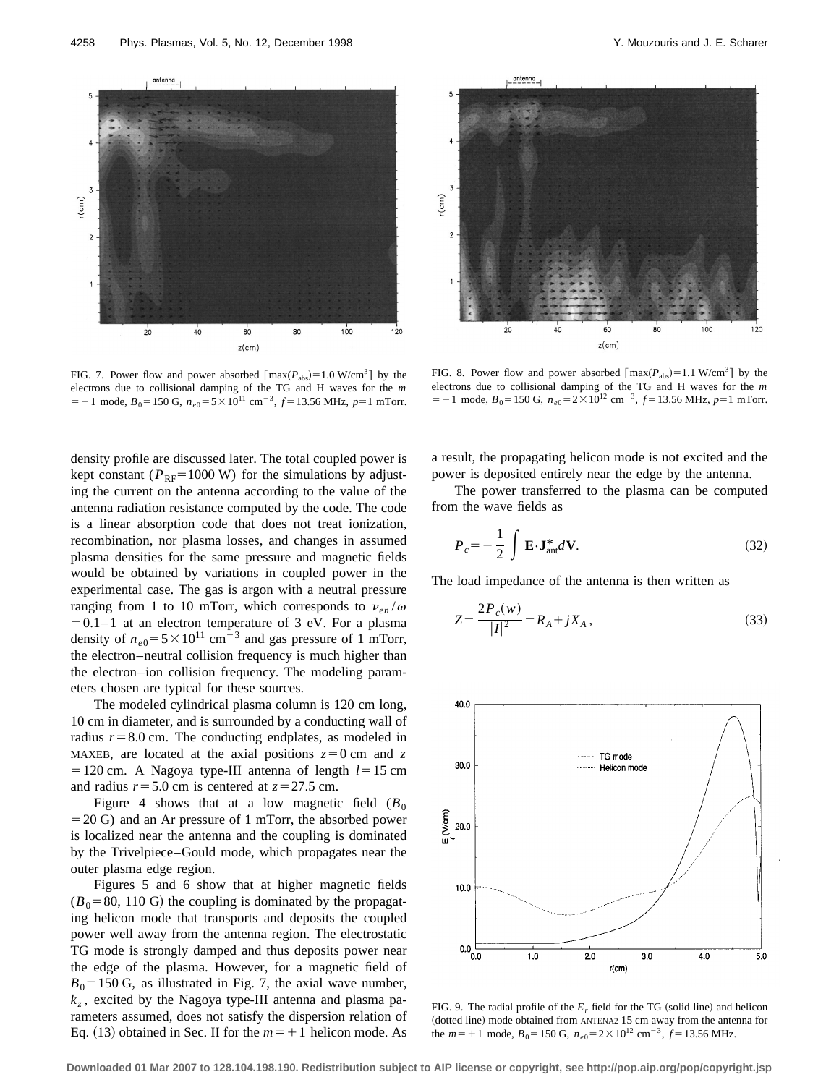

FIG. 7. Power flow and power absorbed  $[\text{max}(P_{\text{abs}})=1.0 \text{ W/cm}^3]$  by the electrons due to collisional damping of the TG and H waves for the *m*  $=$  + 1 mode,  $B_0$  = 150 G,  $n_{e0}$  = 5 × 10<sup>11</sup> cm<sup>-3</sup>,  $f$  = 13.56 MHz,  $p$  = 1 mTorr.

density profile are discussed later. The total coupled power is kept constant ( $P_{RF}$ =1000 W) for the simulations by adjusting the current on the antenna according to the value of the antenna radiation resistance computed by the code. The code is a linear absorption code that does not treat ionization, recombination, nor plasma losses, and changes in assumed plasma densities for the same pressure and magnetic fields would be obtained by variations in coupled power in the experimental case. The gas is argon with a neutral pressure ranging from 1 to 10 mTorr, which corresponds to  $v_{en}/\omega$  $=0.1-1$  at an electron temperature of 3 eV. For a plasma density of  $n_{e0} = 5 \times 10^{11}$  cm<sup>-3</sup> and gas pressure of 1 mTorr, the electron–neutral collision frequency is much higher than the electron–ion collision frequency. The modeling parameters chosen are typical for these sources.

The modeled cylindrical plasma column is 120 cm long, 10 cm in diameter, and is surrounded by a conducting wall of radius  $r=8.0$  cm. The conducting endplates, as modeled in MAXEB, are located at the axial positions  $z=0$  cm and z  $=120$  cm. A Nagoya type-III antenna of length  $l=15$  cm and radius  $r=5.0$  cm is centered at  $z=27.5$  cm.

Figure 4 shows that at a low magnetic field  $(B_0)$  $=20$  G) and an Ar pressure of 1 mTorr, the absorbed power is localized near the antenna and the coupling is dominated by the Trivelpiece–Gould mode, which propagates near the outer plasma edge region.

Figures 5 and 6 show that at higher magnetic fields  $(B_0=80, 110 \text{ G})$  the coupling is dominated by the propagating helicon mode that transports and deposits the coupled power well away from the antenna region. The electrostatic TG mode is strongly damped and thus deposits power near the edge of the plasma. However, for a magnetic field of  $B_0$ =150 G, as illustrated in Fig. 7, the axial wave number,  $k_z$ , excited by the Nagoya type-III antenna and plasma parameters assumed, does not satisfy the dispersion relation of Eq. (13) obtained in Sec. II for the  $m=+1$  helicon mode. As



FIG. 8. Power flow and power absorbed  $[\text{max}(P_{\text{abs}})=1.1 \text{ W/cm}^3]$  by the electrons due to collisional damping of the TG and H waves for the *m*  $=+1$  mode,  $B_0 = 150$  G,  $n_{e0} = 2 \times 10^{12}$  cm<sup>-3</sup>,  $f = 13.56$  MHz,  $p=1$  mTorr.

a result, the propagating helicon mode is not excited and the power is deposited entirely near the edge by the antenna.

The power transferred to the plasma can be computed from the wave fields as

$$
P_c = -\frac{1}{2} \int \mathbf{E} \cdot \mathbf{J}_{\text{ant}}^* d\mathbf{V}.
$$
 (32)

The load impedance of the antenna is then written as

$$
Z = \frac{2P_c(w)}{|I|^2} = R_A + jX_A, \qquad (33)
$$



FIG. 9. The radial profile of the  $E_r$  field for the TG (solid line) and helicon (dotted line) mode obtained from ANTENA2 15 cm away from the antenna for the  $m=+1$  mode,  $B_0 = 150$  G,  $n_{e0} = 2 \times 10^{12}$  cm<sup>-3</sup>,  $f = 13.56$  MHz.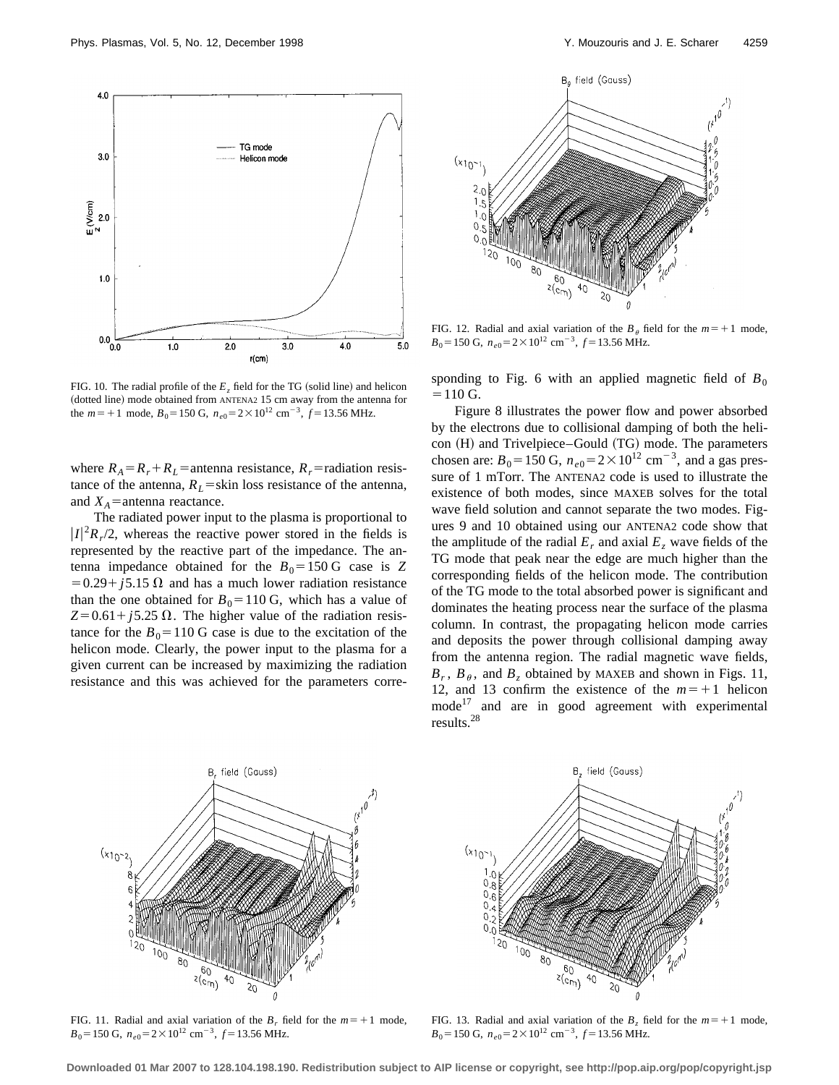

FIG. 10. The radial profile of the  $E<sub>r</sub>$  field for the TG (solid line) and helicon (dotted line) mode obtained from ANTENA2 15 cm away from the antenna for the  $m=+1$  mode,  $B_0=150$  G,  $n_{e0}=2\times10^{12}$  cm<sup>-3</sup>,  $f=13.56$  MHz.

where  $R_A = R_r + R_L$  = antenna resistance,  $R_r$  = radiation resistance of the antenna,  $R_L$ =skin loss resistance of the antenna, and  $X_A$ =antenna reactance.

The radiated power input to the plasma is proportional to  $|I|^2 R_r/2$ , whereas the reactive power stored in the fields is represented by the reactive part of the impedance. The antenna impedance obtained for the  $B_0 = 150 \text{ G}$  case is *Z*  $=0.29 + j5.15 \Omega$  and has a much lower radiation resistance than the one obtained for  $B_0 = 110$  G, which has a value of  $Z=0.61 + j5.25 \Omega$ . The higher value of the radiation resistance for the  $B_0$ =110 G case is due to the excitation of the helicon mode. Clearly, the power input to the plasma for a given current can be increased by maximizing the radiation resistance and this was achieved for the parameters corre-



FIG. 12. Radial and axial variation of the  $B_\theta$  field for the  $m=+1$  mode,  $B_0$ =150 G,  $n_{e0}$ =2×10<sup>12</sup> cm<sup>-3</sup>,  $f$ =13.56 MHz.

sponding to Fig. 6 with an applied magnetic field of  $B_0$  $=110$  G.

Figure 8 illustrates the power flow and power absorbed by the electrons due to collisional damping of both the helicon (H) and Trivelpiece–Gould (TG) mode. The parameters chosen are:  $B_0 = 150$  G,  $n_{e0} = 2 \times 10^{12}$  cm<sup>-3</sup>, and a gas pressure of 1 mTorr. The ANTENA2 code is used to illustrate the existence of both modes, since MAXEB solves for the total wave field solution and cannot separate the two modes. Figures 9 and 10 obtained using our ANTENA2 code show that the amplitude of the radial  $E_r$  and axial  $E_z$  wave fields of the TG mode that peak near the edge are much higher than the corresponding fields of the helicon mode. The contribution of the TG mode to the total absorbed power is significant and dominates the heating process near the surface of the plasma column. In contrast, the propagating helicon mode carries and deposits the power through collisional damping away from the antenna region. The radial magnetic wave fields,  $B_r$ ,  $B_\theta$ , and  $B_z$  obtained by MAXEB and shown in Figs. 11, 12, and 13 confirm the existence of the  $m=+1$  helicon  $mode^{17}$  and are in good agreement with experimental results.28



FIG. 11. Radial and axial variation of the  $B_r$  field for the  $m=+1$  mode,  $B_0$ =150 G,  $n_{e0}$ =2×10<sup>12</sup> cm<sup>-3</sup>,  $f$ =13.56 MHz.



FIG. 13. Radial and axial variation of the  $B_7$  field for the  $m=+1$  mode,  $B_0$  = 150 G,  $n_{e0}$  = 2 × 10<sup>12</sup> cm<sup>-3</sup>,  $f$  = 13.56 MHz.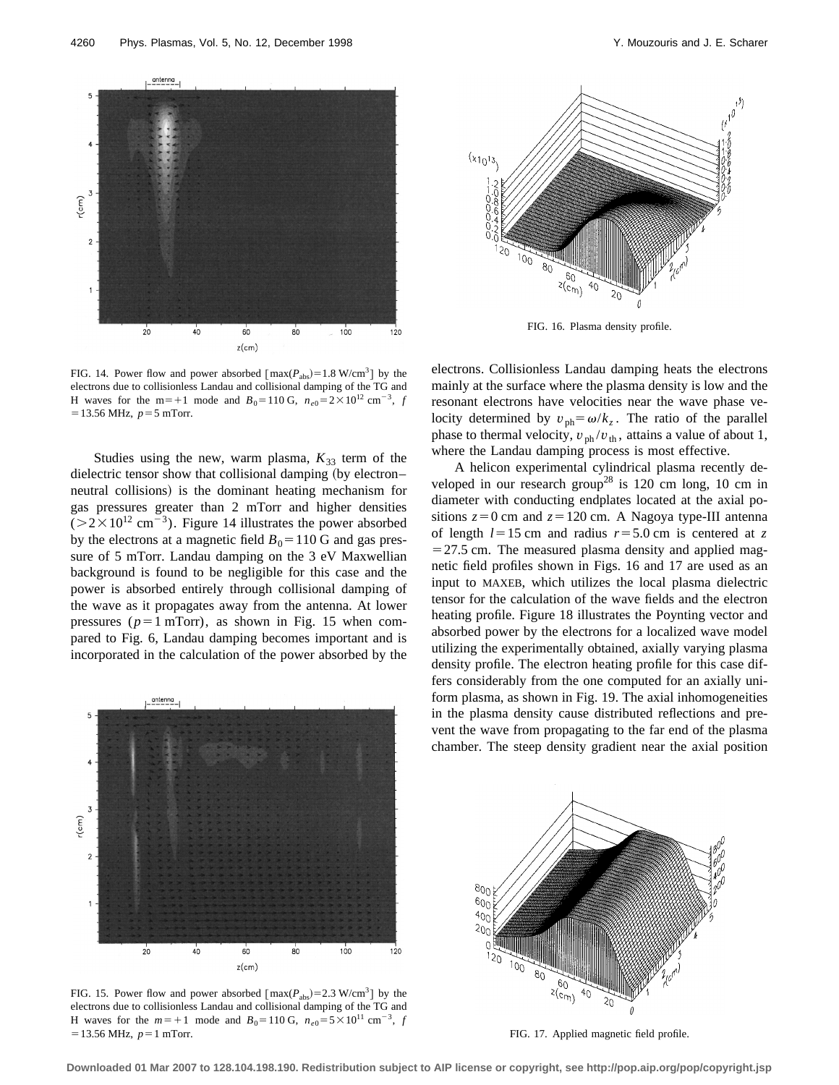

FIG. 14. Power flow and power absorbed  $[\text{max}(P_{\text{abs}})=1.8 \text{ W/cm}^3]$  by the electrons due to collisionless Landau and collisional damping of the TG and H waves for the m=+1 mode and  $B_0$ =110 G,  $n_{e0}$ =2×10<sup>12</sup> cm<sup>-3</sup>, *f*  $=$  13.56 MHz,  $p=5$  mTorr.

Studies using the new, warm plasma,  $K_{33}$  term of the dielectric tensor show that collisional damping (by electron– neutral collisions) is the dominant heating mechanism for gas pressures greater than 2 mTorr and higher densities  $(>2\times10^{12} \text{ cm}^{-3})$ . Figure 14 illustrates the power absorbed by the electrons at a magnetic field  $B_0$ =110 G and gas pressure of 5 mTorr. Landau damping on the 3 eV Maxwellian background is found to be negligible for this case and the power is absorbed entirely through collisional damping of the wave as it propagates away from the antenna. At lower pressures ( $p=1$  mTorr), as shown in Fig. 15 when compared to Fig. 6, Landau damping becomes important and is incorporated in the calculation of the power absorbed by the



FIG. 15. Power flow and power absorbed  $[\text{max}(P_{\text{abs}})=2.3 \text{ W/cm}^3]$  by the electrons due to collisionless Landau and collisional damping of the TG and H waves for the  $m=+1$  mode and  $B_0=110 \text{ G}$ ,  $n_{e0}=5\times10^{11} \text{ cm}^{-3}$ , *f*  $=$  13.56 MHz,  $p=1$  mTorr.



FIG. 16. Plasma density profile.

electrons. Collisionless Landau damping heats the electrons mainly at the surface where the plasma density is low and the resonant electrons have velocities near the wave phase velocity determined by  $v_{ph} = \omega/k_z$ . The ratio of the parallel phase to thermal velocity,  $v_{\text{ph}}/v_{\text{th}}$ , attains a value of about 1, where the Landau damping process is most effective.

A helicon experimental cylindrical plasma recently developed in our research group<sup>28</sup> is 120 cm long, 10 cm in diameter with conducting endplates located at the axial positions  $z=0$  cm and  $z=120$  cm. A Nagoya type-III antenna of length  $l=15$  cm and radius  $r=5.0$  cm is centered at z  $=$  27.5 cm. The measured plasma density and applied magnetic field profiles shown in Figs. 16 and 17 are used as an input to MAXEB, which utilizes the local plasma dielectric tensor for the calculation of the wave fields and the electron heating profile. Figure 18 illustrates the Poynting vector and absorbed power by the electrons for a localized wave model utilizing the experimentally obtained, axially varying plasma density profile. The electron heating profile for this case differs considerably from the one computed for an axially uniform plasma, as shown in Fig. 19. The axial inhomogeneities in the plasma density cause distributed reflections and prevent the wave from propagating to the far end of the plasma chamber. The steep density gradient near the axial position



FIG. 17. Applied magnetic field profile.